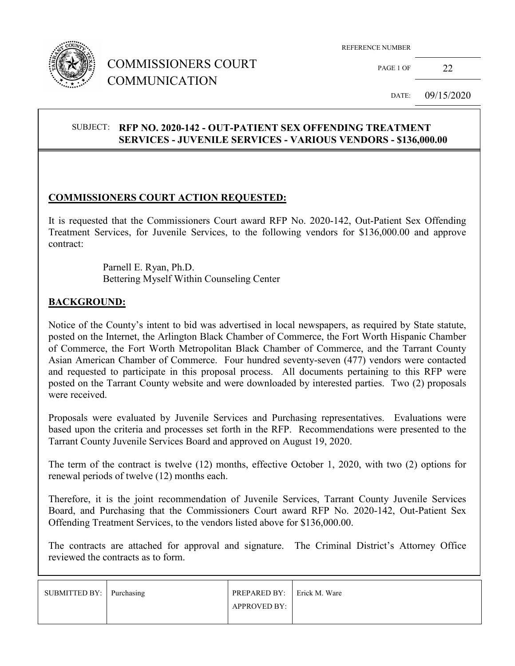

# COMMISSIONERS COURT COMMUNICATION

PAGE 1 OF 22

DATE: 09/15/2020

## SUBJECT: **RFP NO. 2020-142 - OUT-PATIENT SEX OFFENDING TREATMENT SERVICES - JUVENILE SERVICES - VARIOUS VENDORS - \$136,000.00**

#### **COMMISSIONERS COURT ACTION REQUESTED:**

It is requested that the Commissioners Court award RFP No. 2020-142, Out-Patient Sex Offending Treatment Services, for Juvenile Services, to the following vendors for \$136,000.00 and approve contract:

> Parnell E. Ryan, Ph.D. Bettering Myself Within Counseling Center

#### **BACKGROUND:**

Notice of the County's intent to bid was advertised in local newspapers, as required by State statute, posted on the Internet, the Arlington Black Chamber of Commerce, the Fort Worth Hispanic Chamber of Commerce, the Fort Worth Metropolitan Black Chamber of Commerce, and the Tarrant County Asian American Chamber of Commerce. Four hundred seventy-seven (477) vendors were contacted and requested to participate in this proposal process. All documents pertaining to this RFP were posted on the Tarrant County website and were downloaded by interested parties. Two (2) proposals were received.

Proposals were evaluated by Juvenile Services and Purchasing representatives. Evaluations were based upon the criteria and processes set forth in the RFP. Recommendations were presented to the Tarrant County Juvenile Services Board and approved on August 19, 2020.

The term of the contract is twelve (12) months, effective October 1, 2020, with two (2) options for renewal periods of twelve (12) months each.

Therefore, it is the joint recommendation of Juvenile Services, Tarrant County Juvenile Services Board, and Purchasing that the Commissioners Court award RFP No. 2020-142, Out-Patient Sex Offending Treatment Services, to the vendors listed above for \$136,000.00.

The contracts are attached for approval and signature. The Criminal District's Attorney Office reviewed the contracts as to form.

| SUBMITTED BY: Purchasing | <b>PREPARED BY:</b> Erick M. Ware |  |
|--------------------------|-----------------------------------|--|
|                          | <b>APPROVED BY:</b>               |  |